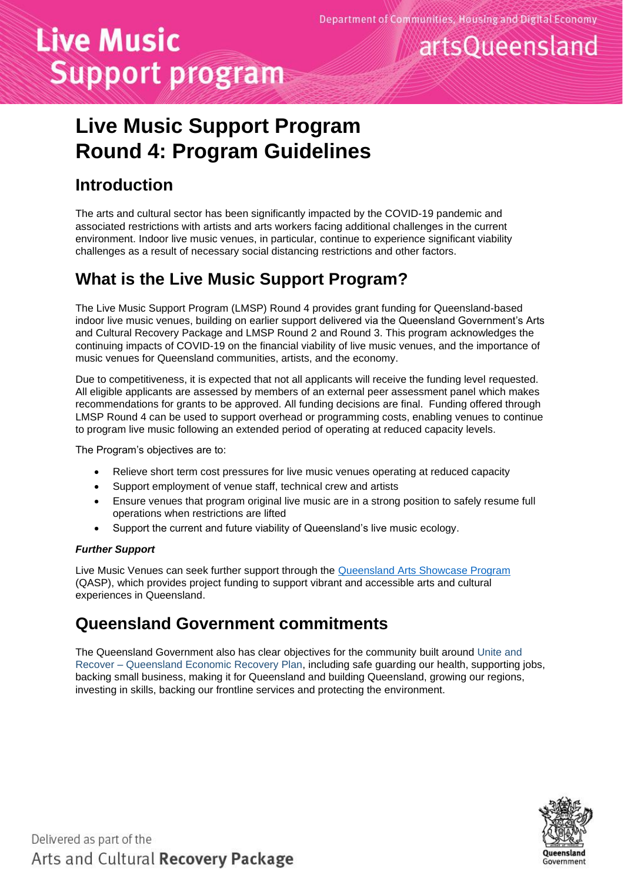artsQueensland

# **Live Music Support program**

# **Live Music Support Program**

# **Round 4: Program Guidelines**

### **Introduction**

The arts and cultural sector has been significantly impacted by the COVID-19 pandemic and associated restrictions with artists and arts workers facing additional challenges in the current environment. Indoor live music venues, in particular, continue to experience significant viability challenges as a result of necessary social distancing restrictions and other factors.

### **What is the Live Music Support Program?**

The Live Music Support Program (LMSP) Round 4 provides grant funding for Queensland-based indoor live music venues, building on earlier support delivered via the Queensland Government's Arts and Cultural Recovery Package and LMSP Round 2 and Round 3. This program acknowledges the continuing impacts of COVID-19 on the financial viability of live music venues, and the importance of music venues for Queensland communities, artists, and the economy.

Due to competitiveness, it is expected that not all applicants will receive the funding level requested. All eligible applicants are assessed by members of an external peer assessment panel which makes recommendations for grants to be approved. All funding decisions are final. Funding offered through LMSP Round 4 can be used to support overhead or programming costs, enabling venues to continue to program live music following an extended period of operating at reduced capacity levels.

The Program's objectives are to:

- Relieve short term cost pressures for live music venues operating at reduced capacity
- Support employment of venue staff, technical crew and artists
- Ensure venues that program original live music are in a strong position to safely resume full operations when restrictions are lifted
- Support the current and future viability of Queensland's live music ecology.

#### *Further Support*

Live Music Venues can seek further support through the [Queensland Arts Showcase Program](https://www.qld.gov.au/recreation/arts/funding/organisations/arts-showcase) (QASP), which provides project funding to support vibrant and accessible arts and cultural experiences in Queensland.

### **Queensland Government commitments**

The Queensland Government also has clear [objectives for the community](https://www.qld.gov.au/about/how-government-works/objectives-for-the-community) built around [Unite and](https://www.covid19.qld.gov.au/government-actions/queensland-economic-recovery-plan)  Recover – [Queensland Economic Recovery Plan,](https://www.covid19.qld.gov.au/government-actions/queensland-economic-recovery-plan) including safe guarding our health, supporting jobs, backing small business, making it for Queensland and building Queensland, growing our regions, investing in skills, backing our frontline services and protecting the environment.

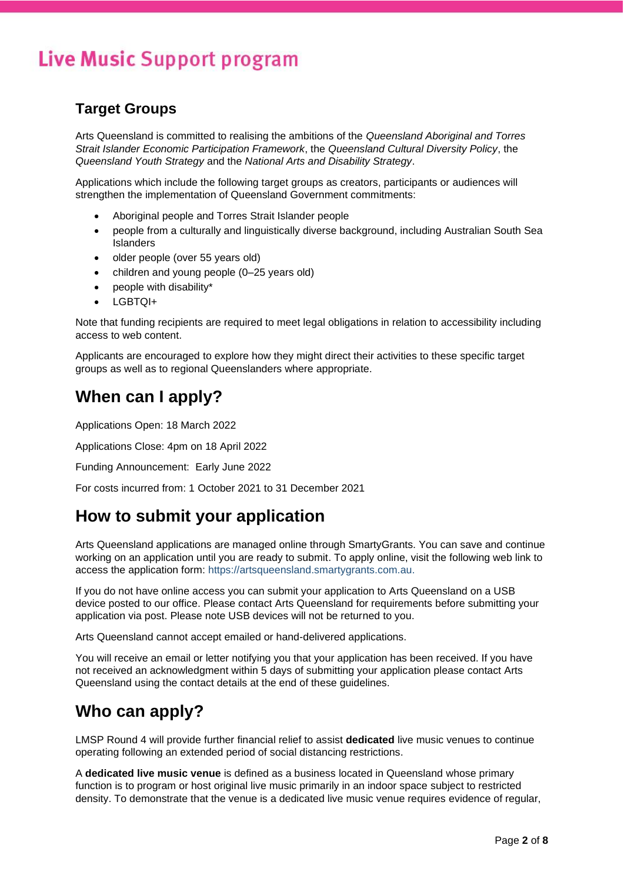### **Target Groups**

Arts Queensland is committed to realising the ambitions of the *Queensland Aboriginal and Torres Strait Islander Economic Participation Framework*, the *Queensland Cultural Diversity Policy*, the *Queensland Youth Strategy* and the *National Arts and Disability Strategy*.

Applications which include the following target groups as creators, participants or audiences will strengthen the implementation of Queensland Government commitments:

- Aboriginal people and Torres Strait Islander people
- people from a culturally and linguistically diverse background, including Australian South Sea Islanders
- older people (over 55 years old)
- children and young people (0–25 years old)
- people with disability\*
- LGBTQI+

Note that funding recipients are required to meet legal obligations in relation to accessibility including access to web content.

Applicants are encouraged to explore how they might direct their activities to these specific target groups as well as to regional Queenslanders where appropriate.

### **When can I apply?**

Applications Open: 18 March 2022

Applications Close: 4pm on 18 April 2022

Funding Announcement: Early June 2022

For costs incurred from: 1 October 2021 to 31 December 2021

### **How to submit your application**

Arts Queensland applications are managed online through SmartyGrants. You can save and continue working on an application until you are ready to submit. To apply online, visit the following web link to access the application form: [https://artsqueensland.smartygrants.com.au.](https://artsqueensland.smartygrants.com.au/)

If you do not have online access you can submit your application to Arts Queensland on a USB device posted to our office. Please contact Arts Queensland for requirements before submitting your application via post. Please note USB devices will not be returned to you.

Arts Queensland cannot accept emailed or hand-delivered applications.

You will receive an email or letter notifying you that your application has been received. If you have not received an acknowledgment within 5 days of submitting your application please contact Arts Queensland using the contact details at the end of these guidelines.

### **Who can apply?**

LMSP Round 4 will provide further financial relief to assist **dedicated** live music venues to continue operating following an extended period of social distancing restrictions.

A **dedicated live music venue** is defined as a business located in Queensland whose primary function is to program or host original live music primarily in an indoor space subject to restricted density. To demonstrate that the venue is a dedicated live music venue requires evidence of regular,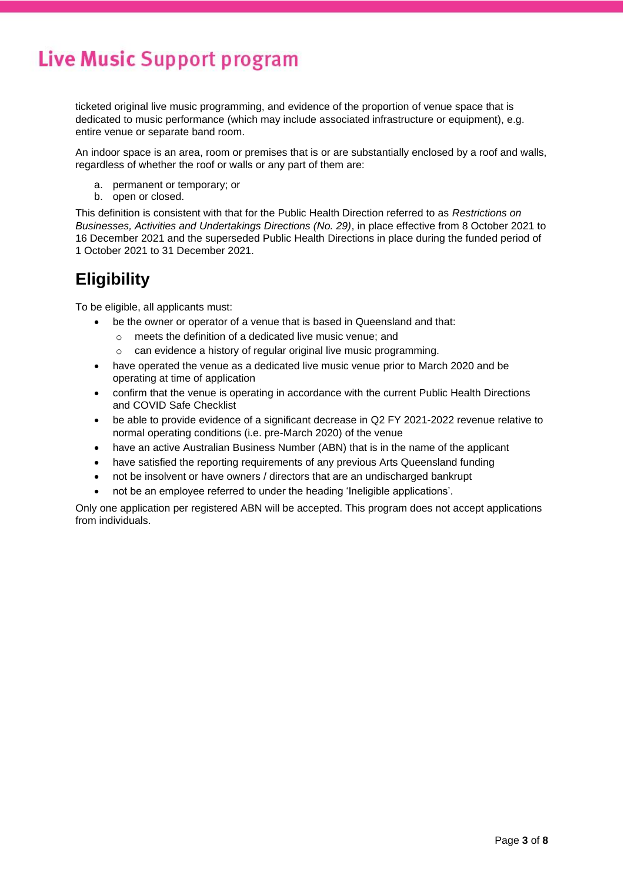ticketed original live music programming, and evidence of the proportion of venue space that is dedicated to music performance (which may include associated infrastructure or equipment), e.g. entire venue or separate band room.

An indoor space is an area, room or premises that is or are substantially enclosed by a roof and walls, regardless of whether the roof or walls or any part of them are:

- a. permanent or temporary; or
- b. open or closed.

This definition is consistent with that for the Public Health Direction referred to as *Restrictions on Businesses, Activities and Undertakings Directions (No. 29)*, in place effective from 8 October 2021 to 16 December 2021 and the superseded Public Health Directions in place during the funded period of 1 October 2021 to 31 December 2021.

### **Eligibility**

To be eligible, all applicants must:

- be the owner or operator of a venue that is based in Queensland and that:
	- o meets the definition of a dedicated live music venue; and
	- o can evidence a history of regular original live music programming.
- have operated the venue as a dedicated live music venue prior to March 2020 and be operating at time of application
- confirm that the venue is operating in accordance with the current Public Health Directions and COVID Safe Checklist
- be able to provide evidence of a significant decrease in Q2 FY 2021-2022 revenue relative to normal operating conditions (i.e. pre-March 2020) of the venue
- have an active Australian Business Number (ABN) that is in the name of the applicant
- have satisfied the reporting requirements of any previous Arts Queensland funding
- not be insolvent or have owners / directors that are an undischarged bankrupt
- not be an employee referred to under the heading 'Ineligible applications'.

Only one application per registered ABN will be accepted. This program does not accept applications from individuals.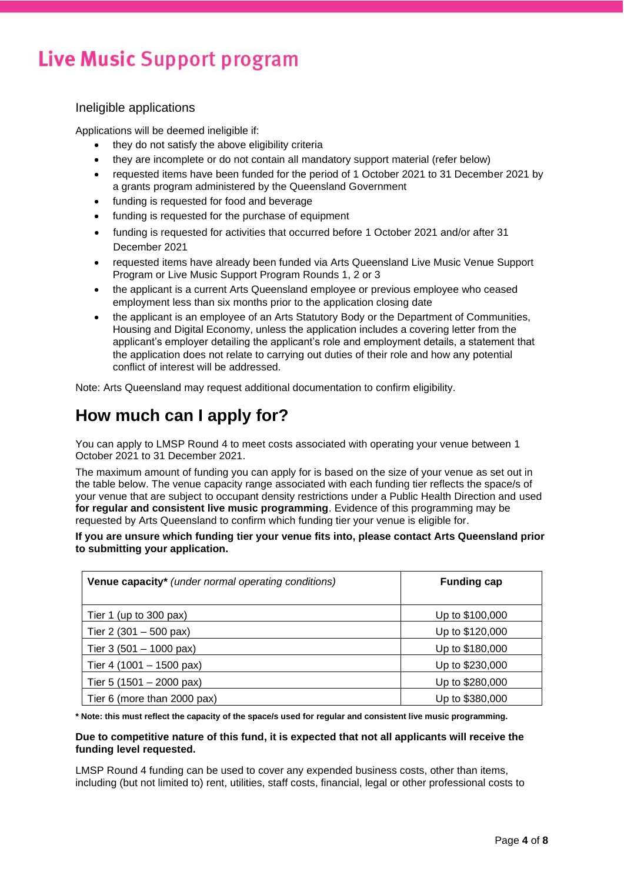#### Ineligible applications

Applications will be deemed ineligible if:

- they do not satisfy the above eligibility criteria
- they are incomplete or do not contain all mandatory support material (refer below)
- requested items have been funded for the period of 1 October 2021 to 31 December 2021 by a grants program administered by the Queensland Government
- funding is requested for food and beverage
- funding is requested for the purchase of equipment
- funding is requested for activities that occurred before 1 October 2021 and/or after 31 December 2021
- requested items have already been funded via Arts Queensland Live Music Venue Support Program or Live Music Support Program Rounds 1, 2 or 3
- the applicant is a current Arts Queensland employee or previous employee who ceased employment less than six months prior to the application closing date
- the applicant is an employee of an Arts Statutory Body or the Department of Communities, Housing and Digital Economy, unless the application includes a covering letter from the applicant's employer detailing the applicant's role and employment details, a statement that the application does not relate to carrying out duties of their role and how any potential conflict of interest will be addressed.

Note: Arts Queensland may request additional documentation to confirm eligibility.

### **How much can I apply for?**

You can apply to LMSP Round 4 to meet costs associated with operating your venue between 1 October 2021 to 31 December 2021.

The maximum amount of funding you can apply for is based on the size of your venue as set out in the table below. The venue capacity range associated with each funding tier reflects the space/s of your venue that are subject to occupant density restrictions under a Public Health Direction and used **for regular and consistent live music programming**. Evidence of this programming may be requested by Arts Queensland to confirm which funding tier your venue is eligible for.

**If you are unsure which funding tier your venue fits into, please contact Arts Queensland prior to submitting your application.** 

| Venue capacity* (under normal operating conditions) | <b>Funding cap</b> |
|-----------------------------------------------------|--------------------|
| Tier 1 (up to 300 pax)                              | Up to \$100,000    |
| Tier 2 (301 – 500 pax)                              | Up to \$120,000    |
| Tier 3 (501 - 1000 pax)                             | Up to \$180,000    |
| Tier 4 (1001 – 1500 pax)                            | Up to \$230,000    |
| Tier 5 (1501 – 2000 pax)                            | Up to \$280,000    |
| Tier 6 (more than 2000 pax)                         | Up to \$380,000    |

**\* Note: this must reflect the capacity of the space/s used for regular and consistent live music programming.**

#### **Due to competitive nature of this fund, it is expected that not all applicants will receive the funding level requested.**

LMSP Round 4 funding can be used to cover any expended business costs, other than items, including (but not limited to) rent, utilities, staff costs, financial, legal or other professional costs to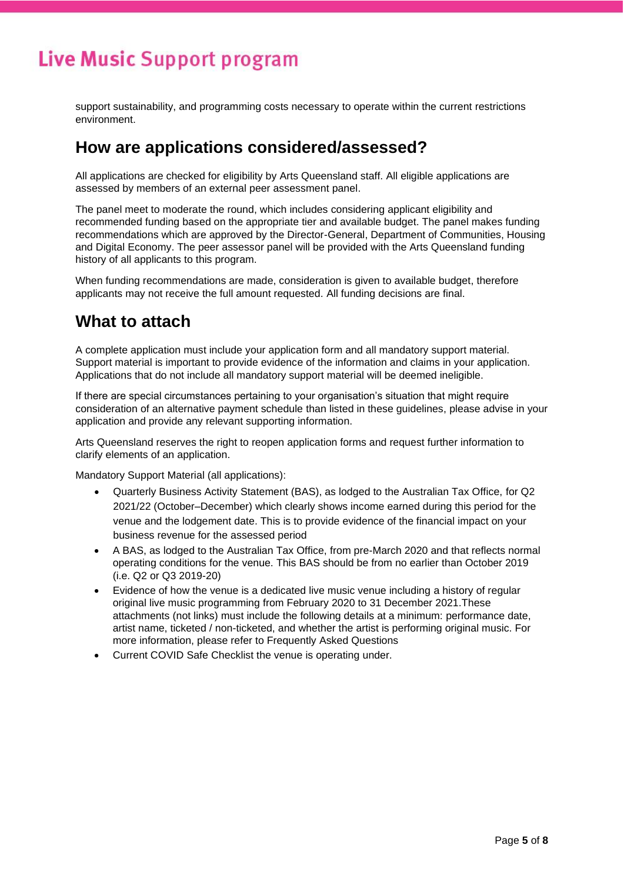support sustainability, and programming costs necessary to operate within the current restrictions environment.

### **How are applications considered/assessed?**

All applications are checked for eligibility by Arts Queensland staff. All eligible applications are assessed by members of an external peer assessment panel.

The panel meet to moderate the round, which includes considering applicant eligibility and recommended funding based on the appropriate tier and available budget. The panel makes funding recommendations which are approved by the Director-General, Department of Communities, Housing and Digital Economy. The peer assessor panel will be provided with the Arts Queensland funding history of all applicants to this program.

When funding recommendations are made, consideration is given to available budget, therefore applicants may not receive the full amount requested. All funding decisions are final.

### **What to attach**

A complete application must include your application form and all mandatory support material. Support material is important to provide evidence of the information and claims in your application. Applications that do not include all mandatory support material will be deemed ineligible.

If there are special circumstances pertaining to your organisation's situation that might require consideration of an alternative payment schedule than listed in these guidelines, please advise in your application and provide any relevant supporting information.

Arts Queensland reserves the right to reopen application forms and request further information to clarify elements of an application.

Mandatory Support Material (all applications):

- Quarterly Business Activity Statement (BAS), as lodged to the Australian Tax Office, for Q2 2021/22 (October–December) which clearly shows income earned during this period for the venue and the lodgement date. This is to provide evidence of the financial impact on your business revenue for the assessed period
- A BAS, as lodged to the Australian Tax Office, from pre-March 2020 and that reflects normal operating conditions for the venue. This BAS should be from no earlier than October 2019 (i.e. Q2 or Q3 2019-20)
- Evidence of how the venue is a dedicated live music venue including a history of regular original live music programming from February 2020 to 31 December 2021.These attachments (not links) must include the following details at a minimum: performance date, artist name, ticketed / non-ticketed, and whether the artist is performing original music. For more information, please refer to Frequently Asked Questions
- Current COVID Safe Checklist the venue is operating under.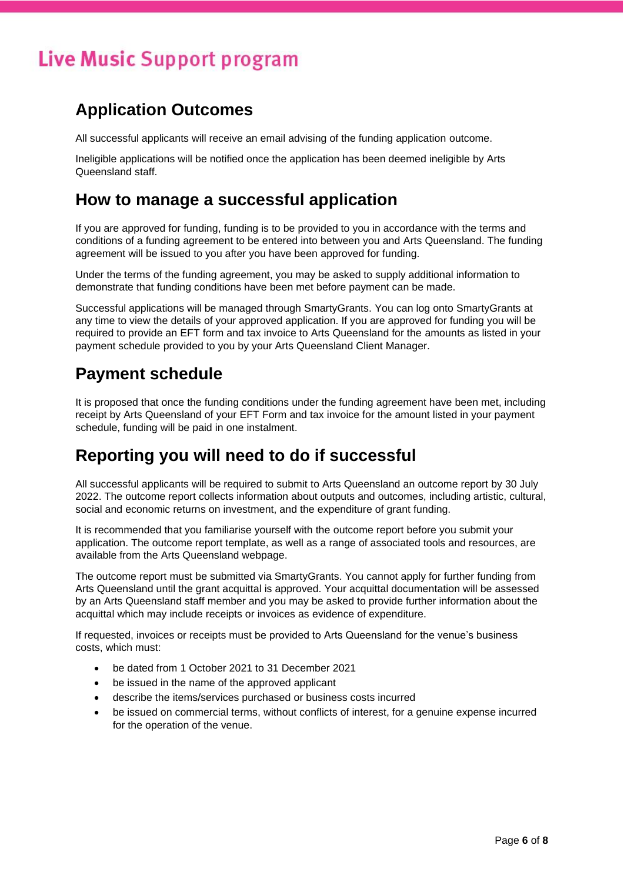### **Application Outcomes**

All successful applicants will receive an email advising of the funding application outcome.

Ineligible applications will be notified once the application has been deemed ineligible by Arts Queensland staff.

### **How to manage a successful application**

If you are approved for funding, funding is to be provided to you in accordance with the terms and conditions of a funding agreement to be entered into between you and Arts Queensland. The funding agreement will be issued to you after you have been approved for funding.

Under the terms of the funding agreement, you may be asked to supply additional information to demonstrate that funding conditions have been met before payment can be made.

Successful applications will be managed through SmartyGrants. You can log onto SmartyGrants at any time to view the details of your approved application. If you are approved for funding you will be required to provide an EFT form and tax invoice to Arts Queensland for the amounts as listed in your payment schedule provided to you by your Arts Queensland Client Manager.

### **Payment schedule**

It is proposed that once the funding conditions under the funding agreement have been met, including receipt by Arts Queensland of your EFT Form and tax invoice for the amount listed in your payment schedule, funding will be paid in one instalment.

### **Reporting you will need to do if successful**

All successful applicants will be required to submit to Arts Queensland an outcome report by 30 July 2022. The outcome report collects information about outputs and outcomes, including artistic, cultural, social and economic returns on investment, and the expenditure of grant funding.

It is recommended that you familiarise yourself with the outcome report before you submit your application. The outcome report template, as well as a range of associated tools and resources, are available from the Arts Queensland webpage.

The outcome report must be submitted via SmartyGrants. You cannot apply for further funding from Arts Queensland until the grant acquittal is approved. Your acquittal documentation will be assessed by an Arts Queensland staff member and you may be asked to provide further information about the acquittal which may include receipts or invoices as evidence of expenditure.

If requested, invoices or receipts must be provided to Arts Queensland for the venue's business costs, which must:

- be dated from 1 October 2021 to 31 December 2021
- be issued in the name of the approved applicant
- describe the items/services purchased or business costs incurred
- be issued on commercial terms, without conflicts of interest, for a genuine expense incurred for the operation of the venue.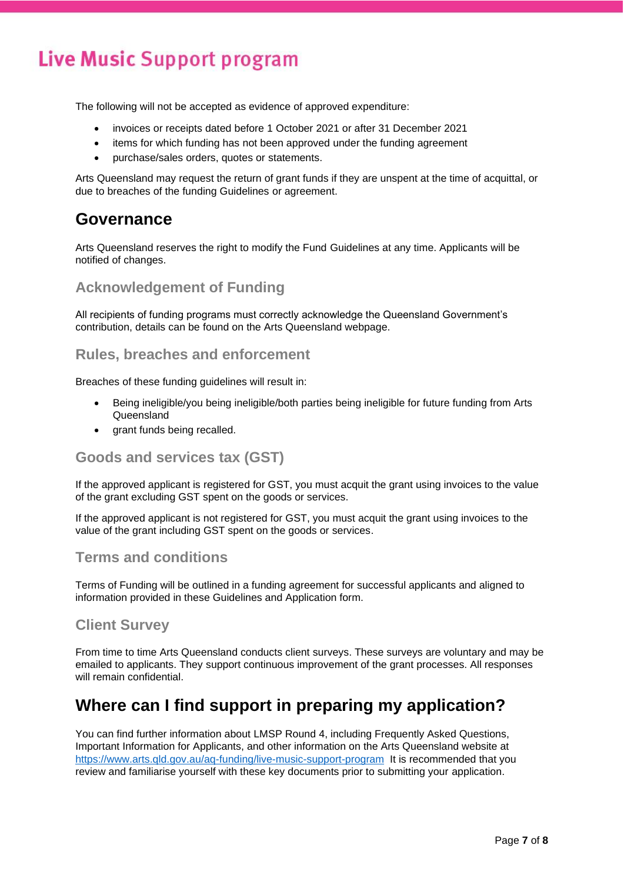The following will not be accepted as evidence of approved expenditure:

- invoices or receipts dated before 1 October 2021 or after 31 December 2021
- items for which funding has not been approved under the funding agreement
- purchase/sales orders, quotes or statements.

Arts Queensland may request the return of grant funds if they are unspent at the time of acquittal, or due to breaches of the funding Guidelines or agreement.

### **Governance**

Arts Queensland reserves the right to modify the Fund Guidelines at any time. Applicants will be notified of changes.

#### **Acknowledgement of Funding**

All recipients of funding programs must correctly acknowledge the Queensland Government's contribution, details can be found on the Arts Queensland webpage.

#### **Rules, breaches and enforcement**

Breaches of these funding guidelines will result in:

- Being ineligible/you being ineligible/both parties being ineligible for future funding from Arts Queensland
- grant funds being recalled.

#### **Goods and services tax (GST)**

If the approved applicant is registered for GST, you must acquit the grant using invoices to the value of the grant excluding GST spent on the goods or services.

If the approved applicant is not registered for GST, you must acquit the grant using invoices to the value of the grant including GST spent on the goods or services.

#### **Terms and conditions**

Terms of Funding will be outlined in a funding agreement for successful applicants and aligned to information provided in these Guidelines and Application form.

#### **Client Survey**

From time to time Arts Queensland conducts client surveys. These surveys are voluntary and may be emailed to applicants. They support continuous improvement of the grant processes. All responses will remain confidential

### **Where can I find support in preparing my application?**

You can find further information about LMSP Round 4, including Frequently Asked Questions, Important Information for Applicants, and other information on the Arts Queensland website at <https://www.arts.qld.gov.au/aq-funding/live-music-support-program> It is recommended that you review and familiarise yourself with these key documents prior to submitting your application.